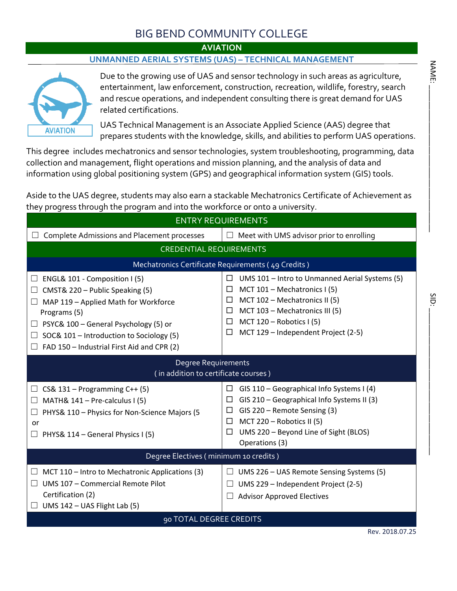# BIG BEND COMMUNITY COLLEGE

### **AVIATION**

### **UNMANNED AERIAL SYSTEMS (UAS) – TECHNICAL MANAGEMENT**



Due to the growing use of UAS and sensor technology in such areas as agriculture, entertainment, law enforcement, construction, recreation, wildlife, forestry, search and rescue operations, and independent consulting there is great demand for UAS related certifications.

UAS Technical Management is an Associate Applied Science (AAS) degree that prepares students with the knowledge, skills, and abilities to perform UAS operations.

This degree includes mechatronics and sensor technologies, system troubleshooting, programming, data collection and management, flight operations and mission planning, and the analysis of data and information using global positioning system (GPS) and geographical information system (GIS) tools.

Aside to the UAS degree, students may also earn a stackable Mechatronics Certificate of Achievement as they progress through the program and into the workforce or onto a university.

| <b>Complete Admissions and Placement processes</b><br>$\Box$ Meet with UMS advisor prior to enrolling<br>$\Box$<br><b>CREDENTIAL REQUIREMENTS</b><br>Mechatronics Certificate Requirements (49 Credits)<br>UMS 101 - Intro to Unmanned Aerial Systems (5)<br>ENGL& 101 - Composition I (5)<br>□<br>ப<br>MCT $101$ – Mechatronics I (5)<br>$\Box$<br>CMST& 220 - Public Speaking (5)<br>ப<br>MCT 102 - Mechatronics II (5)<br>□<br>MAP 119 - Applied Math for Workforce<br>ш<br>MCT 103 - Mechatronics III (5)<br>$\Box$<br>Programs (5)<br>MCT $120 -$ Robotics I (5)<br>$\Box$<br>PSYC& 100 - General Psychology (5) or<br>$\Box$<br>MCT 129 - Independent Project (2-5)<br>$\Box$<br>SOC& 101 - Introduction to Sociology (5)<br>$\Box$<br>FAD 150 - Industrial First Aid and CPR (2)<br><b>Degree Requirements</b><br>(in addition to certificate courses)<br>GIS 110 - Geographical Info Systems I (4)<br>CS& $131 -$ Programming C++ (5)<br>$\Box$<br>$\Box$<br>GIS 210 - Geographical Info Systems II (3)<br>$\Box$<br>MATH& 141 - Pre-calculus I (5)<br>$\Box$<br>GIS 220 - Remote Sensing (3)<br>□<br>PHYS& 110 - Physics for Non-Science Majors (5<br>MCT 220 – Robotics II (5)<br>$\Box$<br>or<br>UMS 220 - Beyond Line of Sight (BLOS)<br>□<br>$\Box$ PHYS& 114 – General Physics I (5)<br>Operations (3)<br>Degree Electives (minimum 10 credits)<br>UMS 226 - UAS Remote Sensing Systems (5)<br>MCT 110 – Intro to Mechatronic Applications (3)<br>ш<br>UMS 107 - Commercial Remote Pilot<br>UMS 229 - Independent Project (2-5)<br>Certification (2)<br><b>Advisor Approved Electives</b><br>UMS 142 - UAS Flight Lab (5)<br>90 TOTAL DEGREE CREDITS<br>Rev. 2018.07.25 | <b>ENTRY REQUIREMENTS</b> |  |  |  |  |  |
|---------------------------------------------------------------------------------------------------------------------------------------------------------------------------------------------------------------------------------------------------------------------------------------------------------------------------------------------------------------------------------------------------------------------------------------------------------------------------------------------------------------------------------------------------------------------------------------------------------------------------------------------------------------------------------------------------------------------------------------------------------------------------------------------------------------------------------------------------------------------------------------------------------------------------------------------------------------------------------------------------------------------------------------------------------------------------------------------------------------------------------------------------------------------------------------------------------------------------------------------------------------------------------------------------------------------------------------------------------------------------------------------------------------------------------------------------------------------------------------------------------------------------------------------------------------------------------------------------------------------------------------------------------------------------------------|---------------------------|--|--|--|--|--|
|                                                                                                                                                                                                                                                                                                                                                                                                                                                                                                                                                                                                                                                                                                                                                                                                                                                                                                                                                                                                                                                                                                                                                                                                                                                                                                                                                                                                                                                                                                                                                                                                                                                                                       |                           |  |  |  |  |  |
|                                                                                                                                                                                                                                                                                                                                                                                                                                                                                                                                                                                                                                                                                                                                                                                                                                                                                                                                                                                                                                                                                                                                                                                                                                                                                                                                                                                                                                                                                                                                                                                                                                                                                       |                           |  |  |  |  |  |
|                                                                                                                                                                                                                                                                                                                                                                                                                                                                                                                                                                                                                                                                                                                                                                                                                                                                                                                                                                                                                                                                                                                                                                                                                                                                                                                                                                                                                                                                                                                                                                                                                                                                                       |                           |  |  |  |  |  |
|                                                                                                                                                                                                                                                                                                                                                                                                                                                                                                                                                                                                                                                                                                                                                                                                                                                                                                                                                                                                                                                                                                                                                                                                                                                                                                                                                                                                                                                                                                                                                                                                                                                                                       |                           |  |  |  |  |  |
|                                                                                                                                                                                                                                                                                                                                                                                                                                                                                                                                                                                                                                                                                                                                                                                                                                                                                                                                                                                                                                                                                                                                                                                                                                                                                                                                                                                                                                                                                                                                                                                                                                                                                       |                           |  |  |  |  |  |
|                                                                                                                                                                                                                                                                                                                                                                                                                                                                                                                                                                                                                                                                                                                                                                                                                                                                                                                                                                                                                                                                                                                                                                                                                                                                                                                                                                                                                                                                                                                                                                                                                                                                                       |                           |  |  |  |  |  |
|                                                                                                                                                                                                                                                                                                                                                                                                                                                                                                                                                                                                                                                                                                                                                                                                                                                                                                                                                                                                                                                                                                                                                                                                                                                                                                                                                                                                                                                                                                                                                                                                                                                                                       |                           |  |  |  |  |  |
|                                                                                                                                                                                                                                                                                                                                                                                                                                                                                                                                                                                                                                                                                                                                                                                                                                                                                                                                                                                                                                                                                                                                                                                                                                                                                                                                                                                                                                                                                                                                                                                                                                                                                       |                           |  |  |  |  |  |
|                                                                                                                                                                                                                                                                                                                                                                                                                                                                                                                                                                                                                                                                                                                                                                                                                                                                                                                                                                                                                                                                                                                                                                                                                                                                                                                                                                                                                                                                                                                                                                                                                                                                                       |                           |  |  |  |  |  |

NAME: \_\_\_\_\_\_\_\_\_\_\_\_\_\_\_\_\_\_\_\_\_\_\_\_\_\_\_\_\_\_\_\_\_\_\_\_

**NAME:**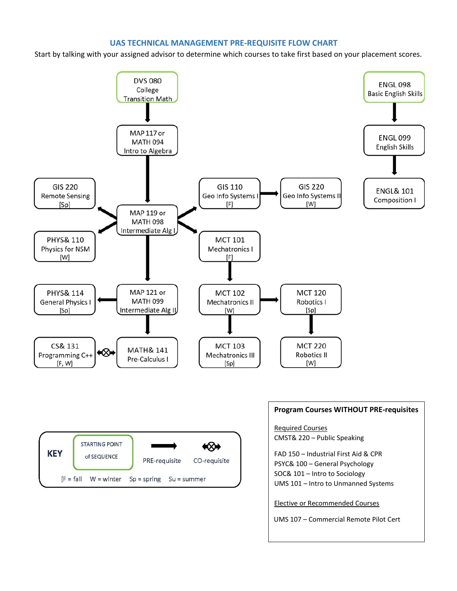### **UAS TECHNICAL MANAGEMENT PRE-REQUISITE FLOW CHART**

Start by talking with your assigned advisor to determine which courses to take first based on your placement scores.

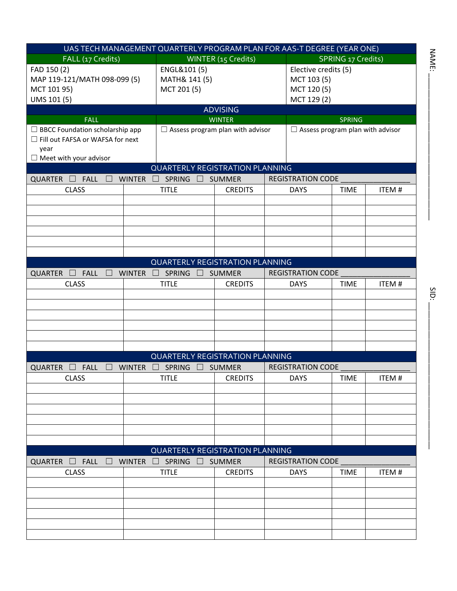| UAS TECH MANAGEMENT QUARTERLY PROGRAM PLAN FOR AAS-T DEGREE (YEAR ONE)                                              |                         |                                             |                     |  |                                                                   |                           |              |
|---------------------------------------------------------------------------------------------------------------------|-------------------------|---------------------------------------------|---------------------|--|-------------------------------------------------------------------|---------------------------|--------------|
| FALL (17 Credits)                                                                                                   |                         |                                             | WINTER (15 Credits) |  |                                                                   | <b>SPRING 17 Credits)</b> |              |
| FAD 150 (2)<br>MAP 119-121/MATH 098-099 (5)<br>MCT 101 95)<br>UMS 101 (5)                                           |                         | ENGL&101(5)<br>MATH& 141 (5)<br>MCT 201 (5) |                     |  | Elective credits (5)<br>MCT 103 (5)<br>MCT 120 (5)<br>MCT 129 (2) |                           |              |
|                                                                                                                     |                         |                                             | <b>ADVISING</b>     |  |                                                                   |                           |              |
| <b>FALL</b>                                                                                                         |                         |                                             | <b>WINTER</b>       |  |                                                                   | <b>SPRING</b>             |              |
| $\Box$ BBCC Foundation scholarship app<br>Fill out FAFSA or WAFSA for next<br>year<br>$\Box$ Meet with your advisor |                         | $\Box$ Assess program plan with advisor     |                     |  | $\Box$ Assess program plan with advisor                           |                           |              |
|                                                                                                                     |                         | <b>QUARTERLY REGISTRATION PLANNING</b>      |                     |  |                                                                   |                           |              |
| <b>FALL</b><br><b>QUARTER</b><br><u> 14</u>                                                                         | <b>WINTER</b><br>$\Box$ | <b>SPRING</b>                               | <b>SUMMER</b>       |  | <b>REGISTRATION CODE</b>                                          |                           |              |
| <b>CLASS</b>                                                                                                        |                         | <b>TITLE</b>                                | <b>CREDITS</b>      |  | <b>DAYS</b>                                                       | <b>TIME</b>               | ITEM#        |
|                                                                                                                     |                         |                                             |                     |  |                                                                   |                           |              |
|                                                                                                                     |                         |                                             |                     |  |                                                                   |                           |              |
|                                                                                                                     |                         |                                             |                     |  |                                                                   |                           |              |
|                                                                                                                     |                         |                                             |                     |  |                                                                   |                           |              |
|                                                                                                                     |                         |                                             |                     |  |                                                                   |                           |              |
|                                                                                                                     |                         |                                             |                     |  |                                                                   |                           |              |
|                                                                                                                     |                         | <b>QUARTERLY REGISTRATION PLANNING</b>      |                     |  |                                                                   |                           |              |
| <b>FALL</b><br>QUARTER $\square$<br>$\Box$                                                                          | <b>WINTER</b><br>$\Box$ | SPRING<br>$\mathbf{L}$                      | <b>SUMMER</b>       |  | <b>REGISTRATION CODE</b>                                          |                           |              |
| <b>CLASS</b>                                                                                                        |                         | <b>TITLE</b>                                | <b>CREDITS</b>      |  | <b>DAYS</b>                                                       | <b>TIME</b>               | ITEM#        |
|                                                                                                                     |                         |                                             |                     |  |                                                                   |                           |              |
|                                                                                                                     |                         |                                             |                     |  |                                                                   |                           |              |
|                                                                                                                     |                         |                                             |                     |  |                                                                   |                           |              |
|                                                                                                                     |                         |                                             |                     |  |                                                                   |                           |              |
|                                                                                                                     |                         |                                             |                     |  |                                                                   |                           |              |
|                                                                                                                     |                         |                                             |                     |  |                                                                   |                           |              |
|                                                                                                                     |                         | <b>QUARTERLY REGISTRATION PLANNING</b>      |                     |  |                                                                   |                           |              |
| QUARTER $\square$<br><b>FALL</b>                                                                                    | <b>WINTER</b><br>$\Box$ | SPRING □                                    | <b>SUMMER</b>       |  | <b>REGISTRATION CODE</b>                                          |                           |              |
| <b>CLASS</b>                                                                                                        |                         | <b>TITLE</b>                                | <b>CREDITS</b>      |  | <b>DAYS</b>                                                       | <b>TIME</b>               | <b>ITEM#</b> |
|                                                                                                                     |                         |                                             |                     |  |                                                                   |                           |              |
|                                                                                                                     |                         |                                             |                     |  |                                                                   |                           |              |
|                                                                                                                     |                         |                                             |                     |  |                                                                   |                           |              |
|                                                                                                                     |                         |                                             |                     |  |                                                                   |                           |              |
|                                                                                                                     |                         |                                             |                     |  |                                                                   |                           |              |
|                                                                                                                     |                         |                                             |                     |  |                                                                   |                           |              |
|                                                                                                                     |                         | <b>QUARTERLY REGISTRATION PLANNING</b>      |                     |  |                                                                   |                           |              |
| $FALL \square$ WINTER<br>QUARTER $\square$                                                                          |                         | $\Box$ SPRING $\Box$                        | <b>SUMMER</b>       |  | <b>REGISTRATION CODE</b>                                          |                           |              |
| <b>CLASS</b>                                                                                                        |                         | <b>TITLE</b>                                | <b>CREDITS</b>      |  | <b>DAYS</b>                                                       | <b>TIME</b>               | ITEM#        |
|                                                                                                                     |                         |                                             |                     |  |                                                                   |                           |              |
|                                                                                                                     |                         |                                             |                     |  |                                                                   |                           |              |
|                                                                                                                     |                         |                                             |                     |  |                                                                   |                           |              |
|                                                                                                                     |                         |                                             |                     |  |                                                                   |                           |              |
|                                                                                                                     |                         |                                             |                     |  |                                                                   |                           |              |
|                                                                                                                     |                         |                                             |                     |  |                                                                   |                           |              |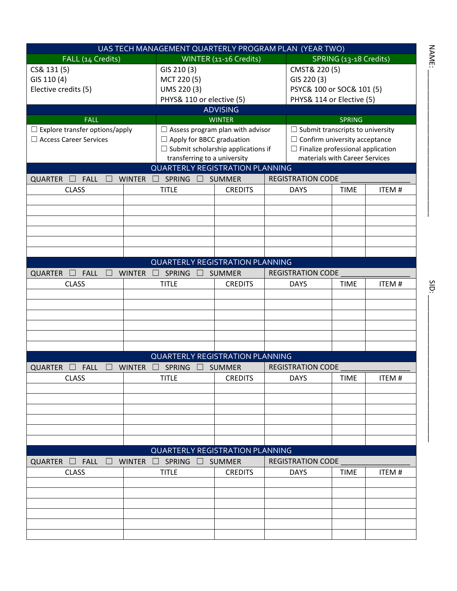| UAS TECH MANAGEMENT QUARTERLY PROGRAM PLAN (YEAR TWO) |                                           |                        |  |                                          |                                |              |
|-------------------------------------------------------|-------------------------------------------|------------------------|--|------------------------------------------|--------------------------------|--------------|
| FALL (14 Credits)                                     |                                           | WINTER (11-16 Credits) |  |                                          | SPRING (13-18 Credits)         |              |
| CS& 131 (5)                                           | GIS 210 (3)                               |                        |  | CMST& 220 (5)                            |                                |              |
| GIS 110 (4)                                           | MCT 220 (5)                               |                        |  | GIS 220 (3)                              |                                |              |
| Elective credits (5)                                  | UMS 220 (3)                               |                        |  | PSYC& 100 or SOC& 101 (5)                |                                |              |
|                                                       | PHYS& 110 or elective (5)                 |                        |  | PHYS& 114 or Elective (5)                |                                |              |
|                                                       |                                           | <b>ADVISING</b>        |  |                                          |                                |              |
| <b>FALL</b>                                           |                                           | <b>WINTER</b>          |  |                                          | <b>SPRING</b>                  |              |
| $\Box$ Explore transfer options/apply                 | $\Box$ Assess program plan with advisor   |                        |  | $\Box$ Submit transcripts to university  |                                |              |
| □ Access Career Services                              | $\Box$ Apply for BBCC graduation          |                        |  | $\Box$ Confirm university acceptance     |                                |              |
|                                                       | $\Box$ Submit scholarship applications if |                        |  | $\Box$ Finalize professional application |                                |              |
|                                                       | transferring to a university              |                        |  |                                          | materials with Career Services |              |
|                                                       | <b>QUARTERLY REGISTRATION PLANNING</b>    |                        |  |                                          |                                |              |
| <b>QUARTER</b><br><b>FALL</b><br><b>WINTER</b>        | <b>SPRING</b>                             | <b>SUMMER</b>          |  | REGISTRATION CODE                        |                                |              |
| <b>CLASS</b>                                          | <b>TITLE</b>                              | <b>CREDITS</b>         |  | <b>DAYS</b>                              | <b>TIME</b>                    | ITEM#        |
|                                                       |                                           |                        |  |                                          |                                |              |
|                                                       |                                           |                        |  |                                          |                                |              |
|                                                       |                                           |                        |  |                                          |                                |              |
|                                                       |                                           |                        |  |                                          |                                |              |
|                                                       |                                           |                        |  |                                          |                                |              |
|                                                       |                                           |                        |  |                                          |                                |              |
|                                                       | <b>QUARTERLY REGISTRATION PLANNING</b>    |                        |  |                                          |                                |              |
|                                                       |                                           |                        |  |                                          |                                |              |
| <b>QUARTER</b><br><b>FALL</b><br><b>WINTER</b>        | <b>SPRING</b>                             | <b>SUMMER</b>          |  | <b>REGISTRATION CODE</b>                 |                                |              |
| <b>CLASS</b>                                          | <b>TITLE</b>                              | <b>CREDITS</b>         |  | <b>DAYS</b>                              | <b>TIME</b>                    | <b>ITEM#</b> |
|                                                       |                                           |                        |  |                                          |                                |              |
|                                                       |                                           |                        |  |                                          |                                |              |
|                                                       |                                           |                        |  |                                          |                                |              |
|                                                       |                                           |                        |  |                                          |                                |              |
|                                                       |                                           |                        |  |                                          |                                |              |
|                                                       |                                           |                        |  |                                          |                                |              |
|                                                       | <b>QUARTERLY REGISTRATION PLANNING</b>    |                        |  |                                          |                                |              |
| <b>QUARTER</b><br><b>WINTER</b><br><b>FALL</b>        | SPRING                                    | <b>SUMMER</b>          |  | <b>REGISTRATION CODE</b>                 |                                |              |
| <b>CLASS</b>                                          | <b>TITLE</b>                              | <b>CREDITS</b>         |  | <b>DAYS</b>                              | <b>TIME</b>                    | <b>ITEM#</b> |
|                                                       |                                           |                        |  |                                          |                                |              |
|                                                       |                                           |                        |  |                                          |                                |              |
|                                                       |                                           |                        |  |                                          |                                |              |
|                                                       |                                           |                        |  |                                          |                                |              |
|                                                       |                                           |                        |  |                                          |                                |              |
|                                                       |                                           |                        |  |                                          |                                |              |
|                                                       | <b>QUARTERLY REGISTRATION PLANNING</b>    |                        |  |                                          |                                |              |
| QUARTER <b>FALL</b><br><b>WINTER</b><br>$\Box$        | $\Box$ SPRING $\Box$                      | <b>SUMMER</b>          |  | <b>REGISTRATION CODE</b>                 |                                |              |
| <b>CLASS</b>                                          | <b>TITLE</b>                              | <b>CREDITS</b>         |  | <b>DAYS</b>                              | <b>TIME</b>                    | ITEM#        |
|                                                       |                                           |                        |  |                                          |                                |              |
|                                                       |                                           |                        |  |                                          |                                |              |
|                                                       |                                           |                        |  |                                          |                                |              |
|                                                       |                                           |                        |  |                                          |                                |              |
|                                                       |                                           |                        |  |                                          |                                |              |
|                                                       |                                           |                        |  |                                          |                                |              |
|                                                       |                                           |                        |  |                                          |                                |              |

 $N_{\rm H}$ 

NAME: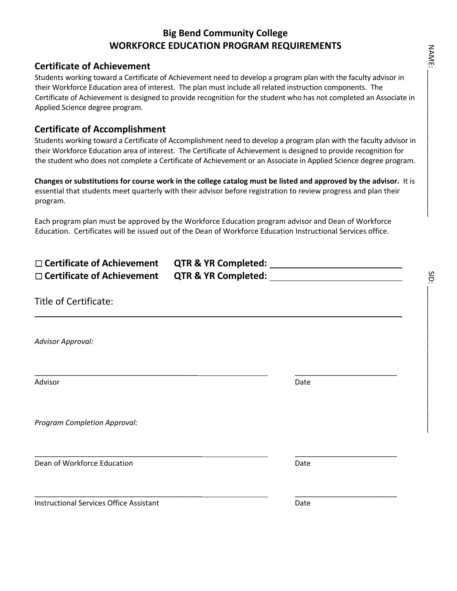## **Big Bend Community College WORKFORCE EDUCATION PROGRAM REQUIREMENTS**

### **Certificate of Achievement**

Students working toward a Certificate of Achievement need to develop a program plan with the faculty advisor in their Workforce Education area of interest. The plan must include all related instruction components. The Certificate of Achievement is designed to provide recognition for the student who has not completed an Associate in Applied Science degree program.

### **Certificate of Accomplishment**

Students working toward a Certificate of Accomplishment need to develop a program plan with the faculty advisor in their Workforce Education area of interest. The Certificate of Achievement is designed to provide recognition for the student who does not complete a Certificate of Achievement or an Associate in Applied Science degree program.

**Changes or substitutions for course work in the college catalog must be listed and approved by the advisor.** It is essential that students meet quarterly with their advisor before registration to review progress and plan their program.

Each program plan must be approved by the Workforce Education program advisor and Dean of Workforce Education. Certificates will be issued out of the Dean of Workforce Education Instructional Services office.

\_\_\_\_\_\_\_\_\_\_\_\_\_\_\_\_\_\_\_\_\_\_\_\_\_\_\_\_\_\_\_\_\_\_\_\_\_\_\_\_ \_\_\_\_\_\_\_\_\_\_\_\_\_\_\_\_\_\_\_\_\_\_\_\_\_

\_\_\_\_\_\_\_\_\_\_\_\_\_\_\_\_\_\_\_\_\_\_\_\_\_\_\_\_\_\_\_\_\_\_\_\_\_\_\_\_\_ \_\_\_\_\_\_\_\_\_\_\_\_\_\_\_\_\_\_\_\_\_\_\_\_\_

\_\_\_\_\_\_\_\_\_\_\_\_\_\_\_\_\_\_\_\_\_\_\_\_\_\_\_\_\_\_\_\_\_\_\_\_\_\_\_\_\_ \_\_\_\_\_\_\_\_\_\_\_\_\_\_\_\_\_\_\_\_\_\_\_\_\_

| $\square$ Certificate of Achievement                  | QTR & YR Completed: |
|-------------------------------------------------------|---------------------|
| $\Box$ Certificate of Achievement QTR & YR Completed: |                     |

### Title of Certificate:

*Advisor Approval:*

Advisor **Date** 

*Program Completion Approval:*

**Dean of Workforce Education** Date **Date Communist Communist Communist Communist Communist Communist Communist Communist Communist Communist Communist Communist Communist Communist Communist Communist Communist Communist C** 

Instructional Services Office Assistant **Date** Date Date

SID: